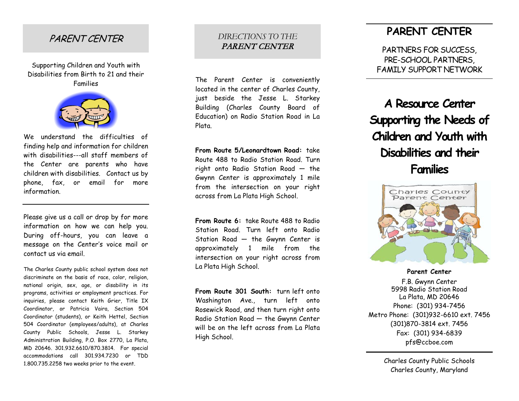#### PARENT CENTER

Supporting Children and Youth with Disabilities from Birth to 21 and their Families



We understand the difficulties of finding help and information for children with disabilities---all staff members of the Center are parents who have children with disabilities. Contact us by phone, fax, or email for more information.

Please give us a call or drop by for more information on how we can help you. During off -hours, you can leave a message on the Center's voice mail or contact us via email.

The Charles County public school system does not discriminate on the basis of race, color, religion, national origin, sex, age, or disability in its programs, activities or employment practices. For inquiries, please contact Keith Grier, Title IX Coordinator, or Patricia Vaira, Section 504 Coordinator (students), or Keith Hettel, Section 504 Coordinator (employees/adults), at Charles County Public Schools, Jesse L. Starkey Administration Building, P.O. Box 2770, La Plata, MD 20646. 301.932.6610/870.3814. For special accommodations call 301.934.7230 or TDD 1.800.735.2258 two weeks prior to the event.

#### *DIRECTIONS TO THE*  PARENT CENTER

The Parent Center is conveniently located in the center of Charles County, just beside the Jesse L. Starkey Building (Charles County Board of Education) on Radio Station Road in La Plata.

**From Route 5/Leonardtown Road:** take Route 488 to Radio Station Road. Turn right onto Radio Station Road — the Gwynn Center is approximately 1 mile from the intersection on your right across from La Plata High School.

**From Route 6:** take Route 488 to Radio Station Road. Turn left onto Radio Station Road — the Gwynn Center is approximately 1 mile from the intersection on your right across from La Plata High School.

**From Route 301 South:** turn left onto Washington Ave., turn left onto Rosewick Road, and then turn right onto Radio Station Road — the Gwynn Center will be on the left across from La Plata High School.

#### **PARENT CENTER**

PARTNERS FOR SUCCESS , PRE -SCHOOL PARTNERS , FAMILY SUPPORT NETWORK

# **A Resource Center Supporting the Needs of Children and Youth with Disabilities and their Families**



**Parent Center**

F.B. Gwynn Center 5998 Radio Station Road La Plata, MD 20646 Phone: (301) 934 -7456 Metro Phone: (301)932 -6610 ext. 7456 (301)870 -3814 ext. 7456 Fax: (301) 934 -6839 pfs@ccboe.com

> Charles County Public Schools Charles County, Maryland